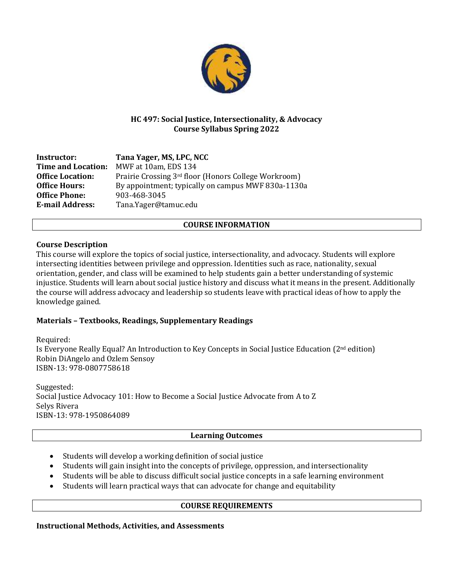

# **HC 497: Social Justice, Intersectionality, & Advocacy Course Syllabus Spring 2022**

| Instructor:               | Tana Yager, MS, LPC, NCC                             |
|---------------------------|------------------------------------------------------|
| <b>Time and Location:</b> | MWF at 10am, EDS 134                                 |
| <b>Office Location:</b>   | Prairie Crossing 3rd floor (Honors College Workroom) |
| <b>Office Hours:</b>      | By appointment; typically on campus MWF 830a-1130a   |
| <b>Office Phone:</b>      | 903-468-3045                                         |
| <b>E-mail Address:</b>    | Tana.Yager@tamuc.edu                                 |

# **COURSE INFORMATION**

### **Course Description**

This course will explore the topics of social justice, intersectionality, and advocacy. Students will explore intersecting identities between privilege and oppression. Identities such as race, nationality, sexual orientation, gender, and class will be examined to help students gain a better understanding of systemic injustice. Students will learn about social justice history and discuss what it means in the present. Additionally the course will address advocacy and leadership so students leave with practical ideas of how to apply the knowledge gained.

# **Materials – Textbooks, Readings, Supplementary Readings**

Required: Is Everyone Really Equal? An Introduction to Key Concepts in Social Justice Education (2nd edition) Robin DiAngelo and Ozlem Sensoy ISBN-13: 978-0807758618

Suggested: Social Justice Advocacy 101: How to Become a Social Justice Advocate from A to Z Selys Rivera ISBN-13: 978-1950864089

# **Learning Outcomes**

- Students will develop a working definition of social justice
- Students will gain insight into the concepts of privilege, oppression, and intersectionality
- Students will be able to discuss difficult social justice concepts in a safe learning environment
- Students will learn practical ways that can advocate for change and equitability

# **COURSE REQUIREMENTS**

**Instructional Methods, Activities, and Assessments**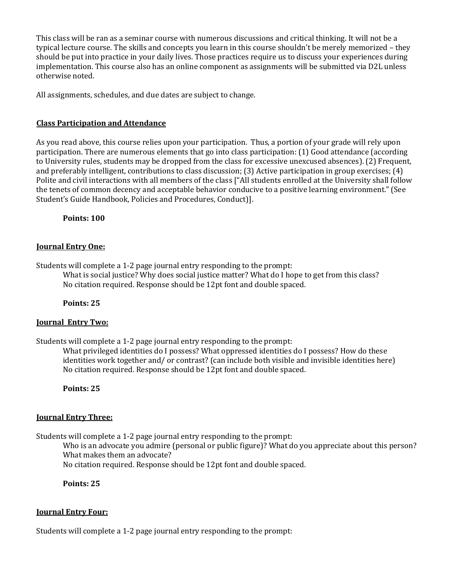This class will be ran as a seminar course with numerous discussions and critical thinking. It will not be a typical lecture course. The skills and concepts you learn in this course shouldn't be merely memorized – they should be put into practice in your daily lives. Those practices require us to discuss your experiences during implementation. This course also has an online component as assignments will be submitted via D2L unless otherwise noted.

All assignments, schedules, and due dates are subject to change.

### **Class Participation and Attendance**

As you read above, this course relies upon your participation. Thus, a portion of your grade will rely upon participation. There are numerous elements that go into class participation: (1) Good attendance (according to University rules, students may be dropped from the class for excessive unexcused absences). (2) Frequent, and preferably intelligent, contributions to class discussion; (3) Active participation in group exercises; (4) Polite and civil interactions with all members of the class ["All students enrolled at the University shall follow the tenets of common decency and acceptable behavior conducive to a positive learning environment." (See Student's Guide Handbook, Policies and Procedures, Conduct)].

**Points: 100**

### **Journal Entry One:**

Students will complete a 1-2 page journal entry responding to the prompt:

What is social justice? Why does social justice matter? What do I hope to get from this class? No citation required. Response should be 12pt font and double spaced.

**Points: 25**

#### **Journal Entry Two:**

Students will complete a 1-2 page journal entry responding to the prompt:

What privileged identities do I possess? What oppressed identities do I possess? How do these identities work together and/ or contrast? (can include both visible and invisible identities here) No citation required. Response should be 12pt font and double spaced.

**Points: 25**

#### **Journal Entry Three:**

Students will complete a 1-2 page journal entry responding to the prompt:

Who is an advocate you admire (personal or public figure)? What do you appreciate about this person? What makes them an advocate?

No citation required. Response should be 12pt font and double spaced.

**Points: 25**

#### **Journal Entry Four:**

Students will complete a 1-2 page journal entry responding to the prompt: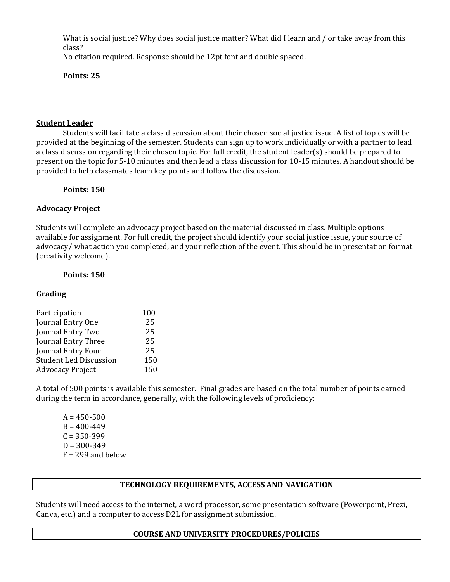What is social justice? Why does social justice matter? What did I learn and / or take away from this class? No citation required. Response should be 12pt font and double spaced.

**Points: 25**

### **Student Leader**

Students will facilitate a class discussion about their chosen social justice issue. A list of topics will be provided at the beginning of the semester. Students can sign up to work individually or with a partner to lead a class discussion regarding their chosen topic. For full credit, the student leader(s) should be prepared to present on the topic for 5-10 minutes and then lead a class discussion for 10-15 minutes. A handout should be provided to help classmates learn key points and follow the discussion.

**Points: 150**

### **Advocacy Project**

Students will complete an advocacy project based on the material discussed in class. Multiple options available for assignment. For full credit, the project should identify your social justice issue, your source of advocacy/ what action you completed, and your reflection of the event. This should be in presentation format (creativity welcome).

# **Points: 150**

# **Grading**

| Participation                 | 100 |
|-------------------------------|-----|
| Journal Entry One             | 25  |
| Journal Entry Two             | 25  |
| Journal Entry Three           | 25  |
| Journal Entry Four            | 25  |
| <b>Student Led Discussion</b> | 150 |
| <b>Advocacy Project</b>       | 150 |

A total of 500 points is available this semester. Final grades are based on the total number of points earned during the term in accordance, generally, with the following levels of proficiency:

 $A = 450 - 500$  $B = 400 - 449$  $C = 350 - 399$  $D = 300 - 349$  $F = 299$  and below

# **TECHNOLOGY REQUIREMENTS, ACCESS AND NAVIGATION**

Students will need access to the internet, a word processor, some presentation software (Powerpoint, Prezi, Canva, etc.) and a computer to access D2L for assignment submission.

#### **COURSE AND UNIVERSITY PROCEDURES/POLICIES**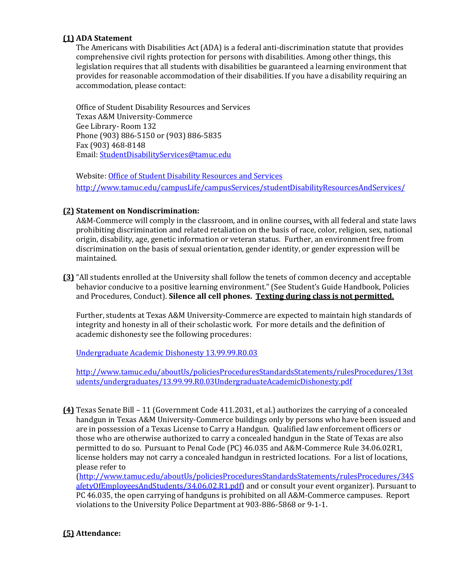### **(1) ADA Statement**

The Americans with Disabilities Act (ADA) is a federal anti-discrimination statute that provides comprehensive civil rights protection for persons with disabilities. Among other things, this legislation requires that all students with disabilities be guaranteed a learning environment that provides for reasonable accommodation of their disabilities. If you have a disability requiring an accommodation, please contact:

Office of Student Disability Resources and Services Texas A&M University-Commerce Gee Library- Room 132 Phone (903) 886-5150 or (903) 886-5835 Fax (903) 468-8148 Email[: StudentDisabilityServices@tamuc.edu](mailto:StudentDisabilityServices@tamuc.edu)

Website: [Office of Student Disability Resources and Services](http://www.tamuc.edu/campusLife/campusServices/studentDisabilityResourcesAndServices/) <http://www.tamuc.edu/campusLife/campusServices/studentDisabilityResourcesAndServices/>

### **(2) Statement on Nondiscrimination:**

A&M-Commerce will comply in the classroom, and in online courses*,* with all federal and state laws prohibiting discrimination and related retaliation on the basis of race, color, religion, sex, national origin, disability, age, genetic information or veteran status. Further, an environment free from discrimination on the basis of sexual orientation, gender identity, or gender expression will be maintained.

**(3)** "All students enrolled at the University shall follow the tenets of common decency and acceptable behavior conducive to a positive learning environment." (See Student's Guide Handbook, Policies and Procedures, Conduct). **Silence all cell phones. Texting during class is not permitted.**

Further, students at Texas A&M University-Commerce are expected to maintain high standards of integrity and honesty in all of their scholastic work. For more details and the definition of academic dishonesty see the following procedures:

[Undergraduate Academic Dishonesty 13.99.99.R0.03](http://www.tamuc.edu/aboutUs/policiesProceduresStandardsStatements/rulesProcedures/13students/undergraduates/13.99.99.R0.03UndergraduateAcademicDishonesty.pdf)

[http://www.tamuc.edu/aboutUs/policiesProceduresStandardsStatements/rulesProcedures/13st](http://www.tamuc.edu/aboutUs/policiesProceduresStandardsStatements/rulesProcedures/13students/undergraduates/13.99.99.R0.03UndergraduateAcademicDishonesty.pdf) [udents/undergraduates/13.99.99.R0.03UndergraduateAcademicDishonesty.pdf](http://www.tamuc.edu/aboutUs/policiesProceduresStandardsStatements/rulesProcedures/13students/undergraduates/13.99.99.R0.03UndergraduateAcademicDishonesty.pdf)

**(4)** Texas Senate Bill – 11 (Government Code 411.2031, et al.) authorizes the carrying of a concealed handgun in Texas A&M University-Commerce buildings only by persons who have been issued and are in possession of a Texas License to Carry a Handgun. Qualified law enforcement officers or those who are otherwise authorized to carry a concealed handgun in the State of Texas are also permitted to do so. Pursuant to Penal Code (PC) 46.035 and A&M-Commerce Rule 34.06.02R1, license holders may not carry a concealed handgun in restricted locations. For a list of locations, please refer to

[\(http://www.tamuc.edu/aboutUs/policiesProceduresStandardsStatements/rulesProcedures/34S](http://www.tamuc.edu/aboutUs/policiesProceduresStandardsStatements/rulesProcedures/34SafetyOfEmployeesAndStudents/34.06.02.R1.pdf) [afetyOfEmployeesAndStudents/34.06.02.R1.pdf\)](http://www.tamuc.edu/aboutUs/policiesProceduresStandardsStatements/rulesProcedures/34SafetyOfEmployeesAndStudents/34.06.02.R1.pdf) and or consult your event organizer). Pursuant to PC 46.035, the open carrying of handguns is prohibited on all A&M-Commerce campuses. Report violations to the University Police Department at 903-886-5868 or 9-1-1.

# **(5) Attendance:**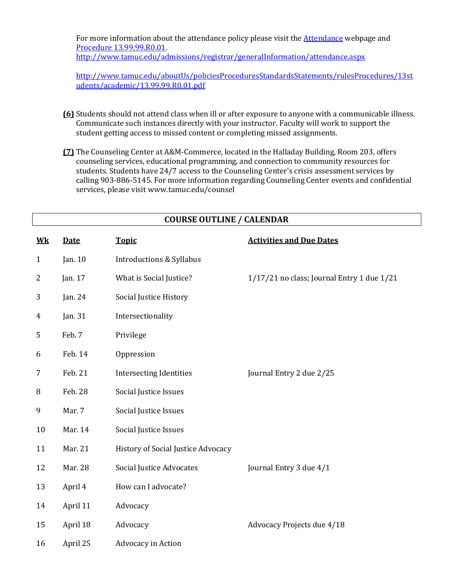For more information about the attendance policy please visit the [Attendance](http://www.tamuc.edu/admissions/registrar/generalInformation/attendance.aspx) webpage and [Procedure 13.99.99.R0.01.](http://www.tamuc.edu/aboutUs/policiesProceduresStandardsStatements/rulesProcedures/13students/academic/13.99.99.R0.01.pdf) 

<http://www.tamuc.edu/admissions/registrar/generalInformation/attendance.aspx>

[http://www.tamuc.edu/aboutUs/policiesProceduresStandardsStatements/rulesProcedures/13st](http://www.tamuc.edu/aboutUs/policiesProceduresStandardsStatements/rulesProcedures/13students/academic/13.99.99.R0.01.pdf) [udents/academic/13.99.99.R0.01.pdf](http://www.tamuc.edu/aboutUs/policiesProceduresStandardsStatements/rulesProcedures/13students/academic/13.99.99.R0.01.pdf)

- **(6)** Students should not attend class when ill or after exposure to anyone with a communicable illness. Communicate such instances directly with your instructor. Faculty will work to support the student getting access to missed content or completing missed assignments.
- **(7)** The Counseling Center at A&M-Commerce, located in the Halladay Building, Room 203, offers counseling services, educational programming, and connection to community resources for students. Students have 24/7 access to the Counseling Center's crisis assessment services by calling 903-886-5145. For more information regarding Counseling Center events and confidential services, please visit www.tamuc.edu/counsel

**COURSE OUTLINE / CALENDAR**

| $\underline{\mathbf{W}}$ | <b>Date</b> | <b>Topic</b>                              | <b>Activities and Due Dates</b>            |
|--------------------------|-------------|-------------------------------------------|--------------------------------------------|
| $\mathbf{1}$             | Jan. 10     | <b>Introductions &amp; Syllabus</b>       |                                            |
| $\overline{2}$           | Jan. 17     | What is Social Justice?                   | 1/17/21 no class; Journal Entry 1 due 1/21 |
| 3                        | Jan. 24     | Social Justice History                    |                                            |
| $\overline{4}$           | Jan. 31     | Intersectionality                         |                                            |
| 5                        | Feb. 7      | Privilege                                 |                                            |
| 6                        | Feb. 14     | Oppression                                |                                            |
| 7                        | Feb. 21     | <b>Intersecting Identities</b>            | Journal Entry 2 due 2/25                   |
| 8                        | Feb. 28     | Social Justice Issues                     |                                            |
| 9                        | Mar. 7      | Social Justice Issues                     |                                            |
| 10                       | Mar. 14     | Social Justice Issues                     |                                            |
| 11                       | Mar. 21     | <b>History of Social Justice Advocacy</b> |                                            |
| 12                       | Mar. 28     | Social Justice Advocates                  | Journal Entry 3 due 4/1                    |
| 13                       | April 4     | How can I advocate?                       |                                            |
| 14                       | April 11    | Advocacy                                  |                                            |
| 15                       | April 18    | Advocacy                                  | Advocacy Projects due 4/18                 |
| 16                       | April 25    | Advocacy in Action                        |                                            |
|                          |             |                                           |                                            |